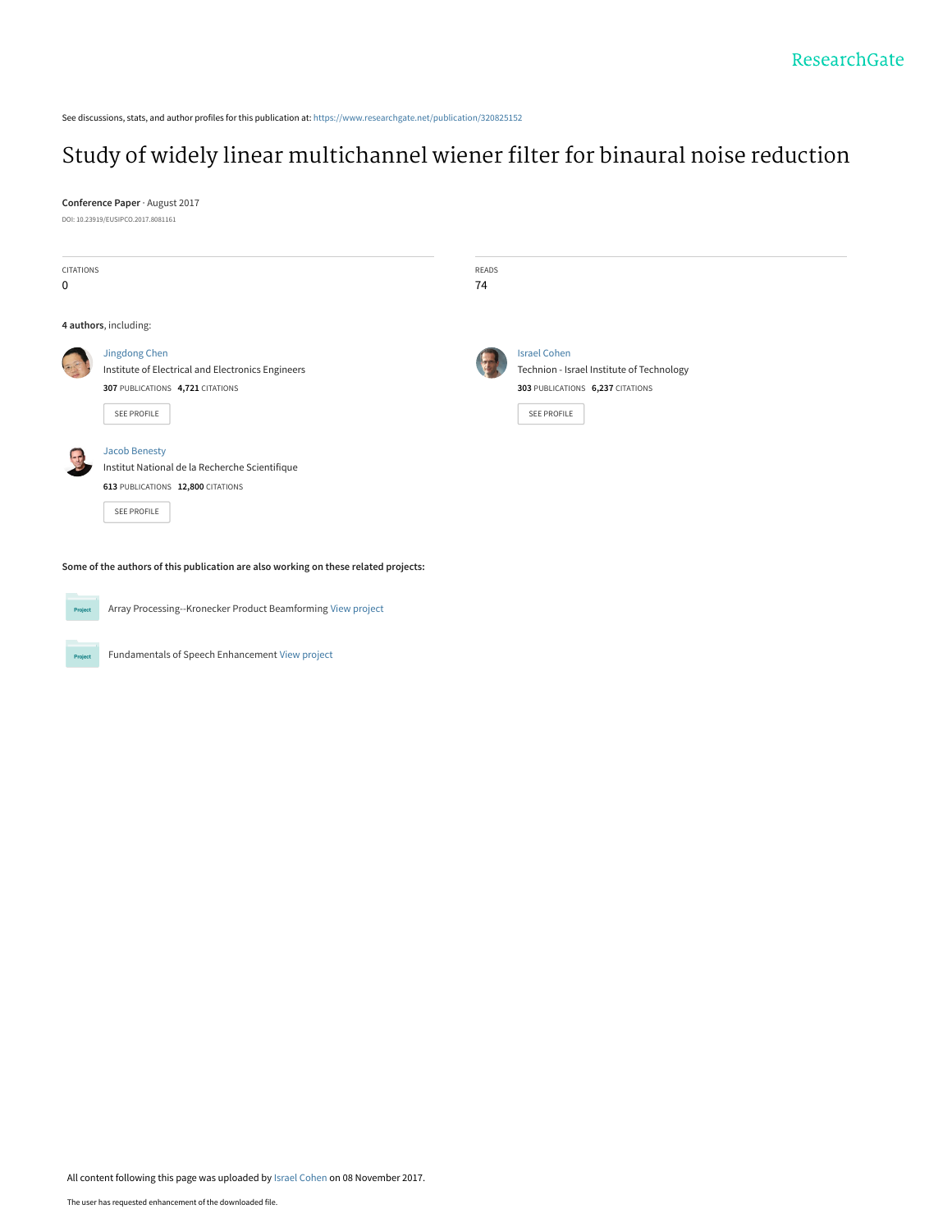See discussions, stats, and author profiles for this publication at: [https://www.researchgate.net/publication/320825152](https://www.researchgate.net/publication/320825152_Study_of_widely_linear_multichannel_wiener_filter_for_binaural_noise_reduction?enrichId=rgreq-06ef85e68378307265d8a1bc85124eb6-XXX&enrichSource=Y292ZXJQYWdlOzMyMDgyNTE1MjtBUzo1NTgzOTI0NzU2MTkzMjhAMTUxMDE0MjU0ODg1NQ%3D%3D&el=1_x_2&_esc=publicationCoverPdf)

# [Study of widely linear multichannel wiener filter for binaural noise reduction](https://www.researchgate.net/publication/320825152_Study_of_widely_linear_multichannel_wiener_filter_for_binaural_noise_reduction?enrichId=rgreq-06ef85e68378307265d8a1bc85124eb6-XXX&enrichSource=Y292ZXJQYWdlOzMyMDgyNTE1MjtBUzo1NTgzOTI0NzU2MTkzMjhAMTUxMDE0MjU0ODg1NQ%3D%3D&el=1_x_3&_esc=publicationCoverPdf)

**Conference Paper** · August 2017

DOI: 10.23919/EUSIPCO.2017.8081161

Project

| CITATIONS |                                                   | READS |                                           |  |
|-----------|---------------------------------------------------|-------|-------------------------------------------|--|
| 0         |                                                   | 74    |                                           |  |
|           |                                                   |       |                                           |  |
|           | 4 authors, including:                             |       |                                           |  |
|           | Jingdong Chen                                     |       | <b>Israel Cohen</b>                       |  |
|           | Institute of Electrical and Electronics Engineers |       | Technion - Israel Institute of Technology |  |
|           | 307 PUBLICATIONS 4,721 CITATIONS                  |       | 303 PUBLICATIONS 6,237 CITATIONS          |  |
|           | SEE PROFILE                                       |       | SEE PROFILE                               |  |
|           |                                                   |       |                                           |  |
| $-$       | <b>Jacob Benesty</b>                              |       |                                           |  |
|           | Institut National de la Recherche Scientifique    |       |                                           |  |
|           | 613 PUBLICATIONS 12,800 CITATIONS                 |       |                                           |  |
|           | SEE PROFILE                                       |       |                                           |  |
|           |                                                   |       |                                           |  |
|           |                                                   |       |                                           |  |

**Some of the authors of this publication are also working on these related projects:**

Array Processing--Kronecker Product Beamforming [View project](https://www.researchgate.net/project/Array-Processing--Kronecker-Product-Beamforming?enrichId=rgreq-06ef85e68378307265d8a1bc85124eb6-XXX&enrichSource=Y292ZXJQYWdlOzMyMDgyNTE1MjtBUzo1NTgzOTI0NzU2MTkzMjhAMTUxMDE0MjU0ODg1NQ%3D%3D&el=1_x_9&_esc=publicationCoverPdf) Project

Fundamentals of Speech Enhancement [View project](https://www.researchgate.net/project/Fundamentals-of-Speech-Enhancement?enrichId=rgreq-06ef85e68378307265d8a1bc85124eb6-XXX&enrichSource=Y292ZXJQYWdlOzMyMDgyNTE1MjtBUzo1NTgzOTI0NzU2MTkzMjhAMTUxMDE0MjU0ODg1NQ%3D%3D&el=1_x_9&_esc=publicationCoverPdf)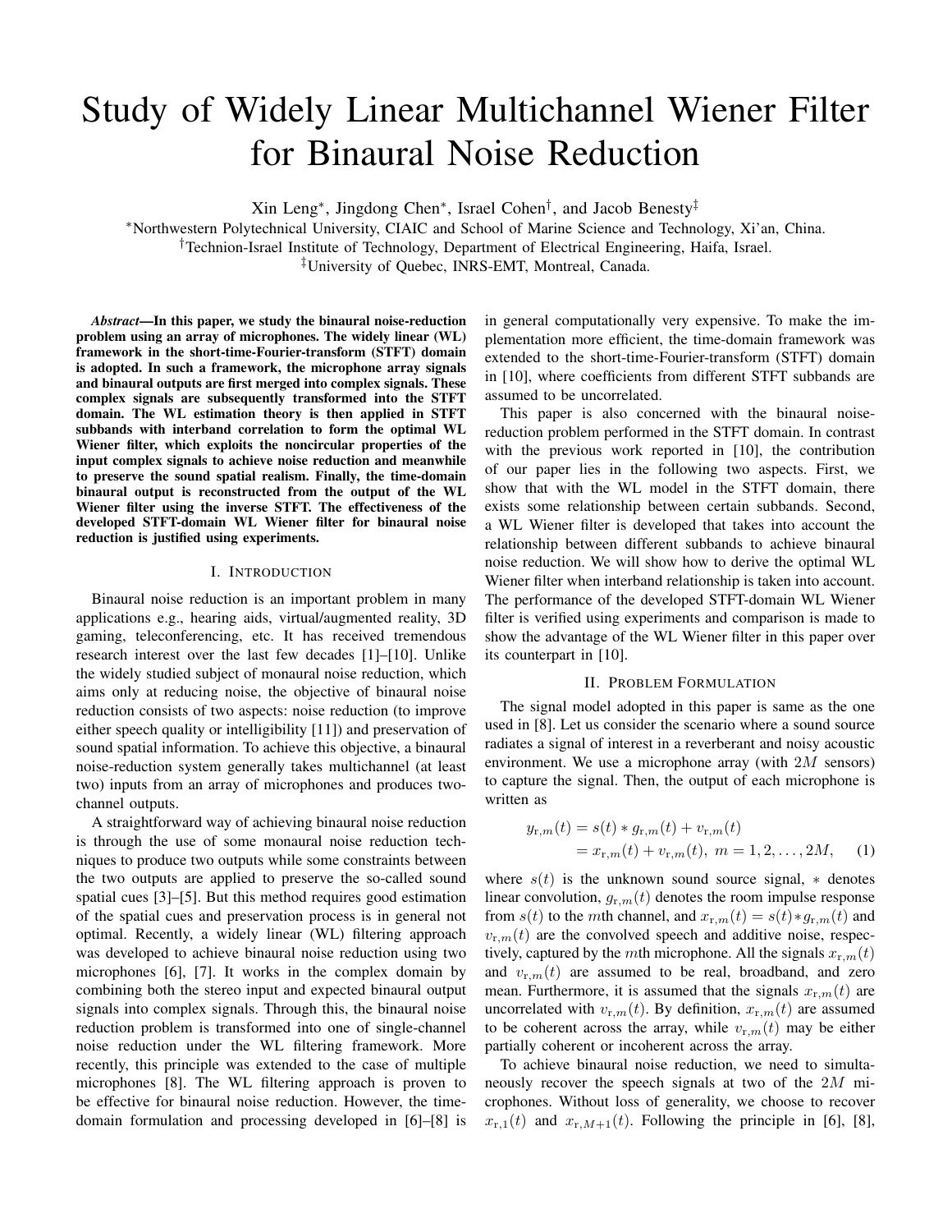# Study of Widely Linear Multichannel Wiener Filter for Binaural Noise Reduction

Xin Leng*∗* , Jingdong Chen*∗* , Israel Cohen*†* , and Jacob Benesty*‡*

*∗*Northwestern Polytechnical University, CIAIC and School of Marine Science and Technology, Xi'an, China.

*†*Technion-Israel Institute of Technology, Department of Electrical Engineering, Haifa, Israel.

*‡*University of Quebec, INRS-EMT, Montreal, Canada.

*Abstract*—In this paper, we study the binaural noise-reduction problem using an array of microphones. The widely linear (WL) framework in the short-time-Fourier-transform (STFT) domain is adopted. In such a framework, the microphone array signals and binaural outputs are first merged into complex signals. These complex signals are subsequently transformed into the STFT domain. The WL estimation theory is then applied in STFT subbands with interband correlation to form the optimal WL Wiener filter, which exploits the noncircular properties of the input complex signals to achieve noise reduction and meanwhile to preserve the sound spatial realism. Finally, the time-domain binaural output is reconstructed from the output of the WL Wiener filter using the inverse STFT. The effectiveness of the developed STFT-domain WL Wiener filter for binaural noise reduction is justified using experiments.

#### I. INTRODUCTION

Binaural noise reduction is an important problem in many applications e.g., hearing aids, virtual/augmented reality, 3D gaming, teleconferencing, etc. It has received tremendous research interest over the last few decades [1]–[10]. Unlike the widely studied subject of monaural noise reduction, which aims only at reducing noise, the objective of binaural noise reduction consists of two aspects: noise reduction (to improve either speech quality or intelligibility [11]) and preservation of sound spatial information. To achieve this objective, a binaural noise-reduction system generally takes multichannel (at least two) inputs from an array of microphones and produces twochannel outputs.

A straightforward way of achieving binaural noise reduction is through the use of some monaural noise reduction techniques to produce two outputs while some constraints between the two outputs are applied to preserve the so-called sound spatial cues [3]–[5]. But this method requires good estimation of the spatial cues and preservation process is in general not optimal. Recently, a widely linear (WL) filtering approach was developed to achieve binaural noise reduction using two microphones [6], [7]. It works in the complex domain by combining both the stereo input and expected binaural output signals into complex signals. Through this, the binaural noise reduction problem is transformed into one of single-channel noise reduction under the WL filtering framework. More recently, this principle was extended to the case of multiple microphones [8]. The WL filtering approach is proven to be effective for binaural noise reduction. However, the timedomain formulation and processing developed in [6]–[8] is in general computationally very expensive. To make the implementation more efficient, the time-domain framework was extended to the short-time-Fourier-transform (STFT) domain in [10], where coefficients from different STFT subbands are assumed to be uncorrelated.

This paper is also concerned with the binaural noisereduction problem performed in the STFT domain. In contrast with the previous work reported in [10], the contribution of our paper lies in the following two aspects. First, we show that with the WL model in the STFT domain, there exists some relationship between certain subbands. Second, a WL Wiener filter is developed that takes into account the relationship between different subbands to achieve binaural noise reduction. We will show how to derive the optimal WL Wiener filter when interband relationship is taken into account. The performance of the developed STFT-domain WL Wiener filter is verified using experiments and comparison is made to show the advantage of the WL Wiener filter in this paper over its counterpart in [10].

#### II. PROBLEM FORMULATION

The signal model adopted in this paper is same as the one used in [8]. Let us consider the scenario where a sound source radiates a signal of interest in a reverberant and noisy acoustic environment. We use a microphone array (with 2*M* sensors) to capture the signal. Then, the output of each microphone is written as

$$
y_{r,m}(t) = s(t) * g_{r,m}(t) + v_{r,m}(t)
$$
  
=  $x_{r,m}(t) + v_{r,m}(t), \ m = 1, 2, ..., 2M,$  (1)

where  $s(t)$  is the unknown sound source signal,  $*$  denotes linear convolution,  $g_{r,m}(t)$  denotes the room impulse response from *s*(*t*) to the *m*th channel, and  $x_{r,m}(t) = s(t) * g_{r,m}(t)$  and  $v_{r,m}(t)$  are the convolved speech and additive noise, respectively, captured by the *m*th microphone. All the signals  $x_{r,m}(t)$ and  $v_{r,m}(t)$  are assumed to be real, broadband, and zero mean. Furthermore, it is assumed that the signals  $x_{r,m}(t)$  are uncorrelated with  $v_{r,m}(t)$ . By definition,  $x_{r,m}(t)$  are assumed to be coherent across the array, while  $v_{r,m}(t)$  may be either partially coherent or incoherent across the array.

To achieve binaural noise reduction, we need to simultaneously recover the speech signals at two of the 2*M* microphones. Without loss of generality, we choose to recover  $x_{r,1}(t)$  and  $x_{r,M+1}(t)$ . Following the principle in [6], [8],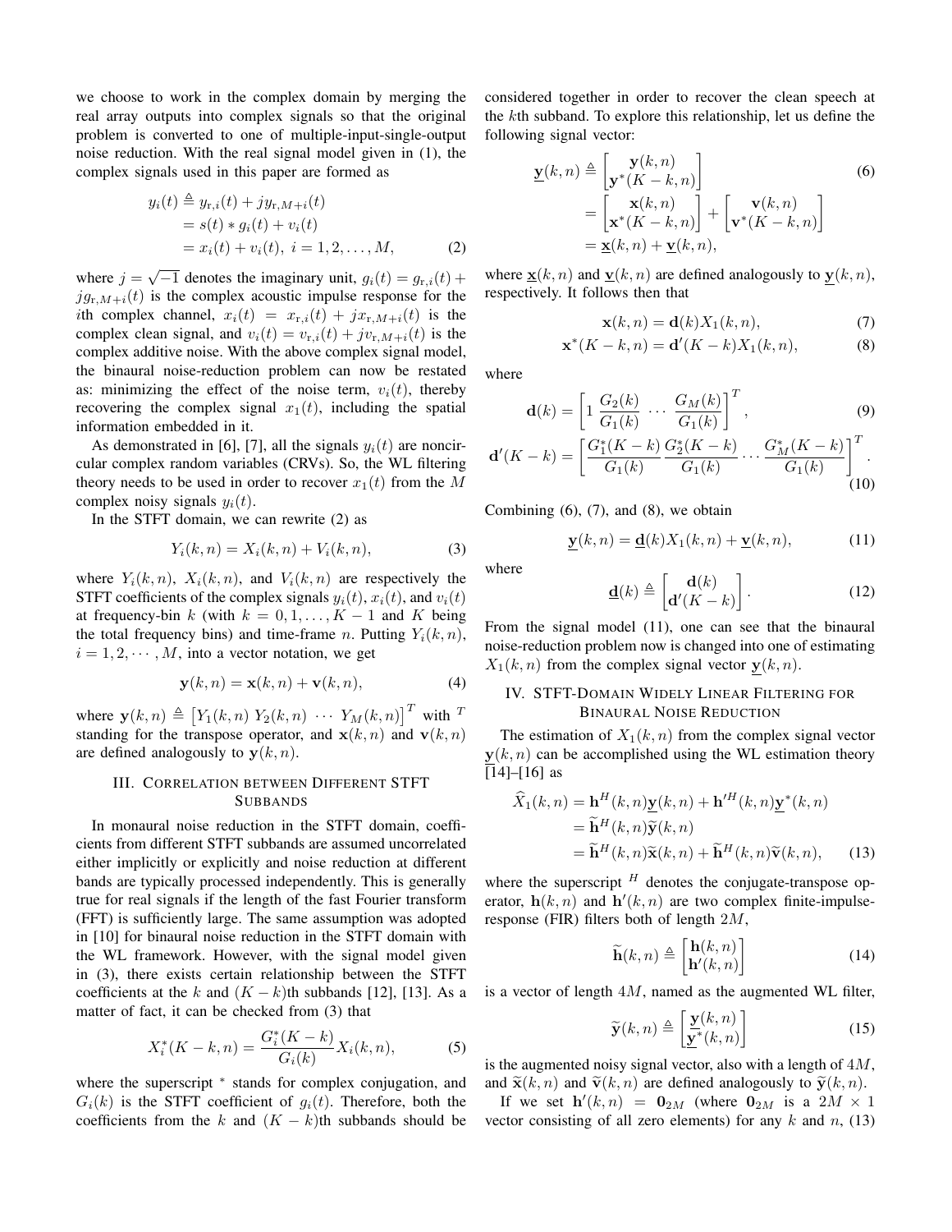we choose to work in the complex domain by merging the real array outputs into complex signals so that the original problem is converted to one of multiple-input-single-output noise reduction. With the real signal model given in (1), the complex signals used in this paper are formed as

$$
y_i(t) \triangleq y_{r,i}(t) + jy_{r,M+i}(t)
$$
  
=  $s(t) * g_i(t) + v_i(t)$   
=  $x_i(t) + v_i(t), i = 1, 2, ..., M,$  (2)

where  $j = \sqrt{-1}$  denotes the imaginary unit,  $g_i(t) = g_{r,i}(t) +$  $j g_{r,M+i}(t)$  is the complex acoustic impulse response for the *i*th complex channel,  $x_i(t) = x_{r,i}(t) + jx_{r,M+i}(t)$  is the complex clean signal, and  $v_i(t) = v_{r,i}(t) + jv_{r,M+i}(t)$  is the complex additive noise. With the above complex signal model, the binaural noise-reduction problem can now be restated as: minimizing the effect of the noise term,  $v_i(t)$ , thereby recovering the complex signal  $x_1(t)$ , including the spatial information embedded in it.

As demonstrated in [6], [7], all the signals  $y_i(t)$  are noncircular complex random variables (CRVs). So, the WL filtering theory needs to be used in order to recover  $x_1(t)$  from the M complex noisy signals  $y_i(t)$ .

In the STFT domain, we can rewrite (2) as

$$
Y_i(k, n) = X_i(k, n) + V_i(k, n),
$$
\n(3)

where  $Y_i(k, n)$ ,  $X_i(k, n)$ , and  $V_i(k, n)$  are respectively the STFT coefficients of the complex signals  $y_i(t)$ ,  $x_i(t)$ , and  $v_i(t)$ at frequency-bin  $k$  (with  $k = 0, 1, \ldots, K - 1$  and  $K$  being the total frequency bins) and time-frame *n*. Putting  $Y_i(k, n)$ ,  $i = 1, 2, \dots, M$ , into a vector notation, we get

$$
\mathbf{y}(k,n) = \mathbf{x}(k,n) + \mathbf{v}(k,n),\tag{4}
$$

where  $\mathbf{y}(k, n) \triangleq [Y_1(k, n) Y_2(k, n) \cdots Y_M(k, n)]^T$  with <sup>T</sup> standing for the transpose operator, and  $\mathbf{x}(k, n)$  and  $\mathbf{v}(k, n)$ are defined analogously to  $y(k, n)$ .

# III. CORRELATION BETWEEN DIFFERENT STFT SUBBANDS

In monaural noise reduction in the STFT domain, coefficients from different STFT subbands are assumed uncorrelated either implicitly or explicitly and noise reduction at different bands are typically processed independently. This is generally true for real signals if the length of the fast Fourier transform (FFT) is sufficiently large. The same assumption was adopted in [10] for binaural noise reduction in the STFT domain with the WL framework. However, with the signal model given in (3), there exists certain relationship between the STFT coefficients at the  $k$  and  $(K - k)$ th subbands [12], [13]. As a matter of fact, it can be checked from (3) that

$$
X_i^*(K - k, n) = \frac{G_i^*(K - k)}{G_i(k)} X_i(k, n),
$$
 (5)

where the superscript  $*$  stands for complex conjugation, and  $G_i(k)$  is the STFT coefficient of  $g_i(t)$ . Therefore, both the coefficients from the *k* and  $(K - k)$ th subbands should be considered together in order to recover the clean speech at the *k*th subband. To explore this relationship, let us define the following signal vector:

$$
\underline{\mathbf{y}}(k,n) \triangleq \begin{bmatrix} \mathbf{y}(k,n) \\ \mathbf{y}^*(K-k,n) \end{bmatrix}
$$
  
= 
$$
\begin{bmatrix} \mathbf{x}(k,n) \\ \mathbf{x}^*(K-k,n) \end{bmatrix} + \begin{bmatrix} \mathbf{v}(k,n) \\ \mathbf{v}^*(K-k,n) \end{bmatrix}
$$
  
= 
$$
\underline{\mathbf{x}}(k,n) + \underline{\mathbf{v}}(k,n),
$$
 (6)

where  $\underline{\mathbf{x}}(k, n)$  and  $\underline{\mathbf{v}}(k, n)$  are defined analogously to  $\mathbf{y}(k, n)$ , respectively. It follows then that

$$
\mathbf{x}(k,n) = \mathbf{d}(k)X_1(k,n),\tag{7}
$$

$$
\mathbf{x}^*(K-k,n) = \mathbf{d}'(K-k)X_1(k,n),\tag{8}
$$

where

$$
\mathbf{d}(k) = \left[1 \frac{G_2(k)}{G_1(k)} \cdots \frac{G_M(k)}{G_1(k)}\right]^T, \tag{9}
$$

$$
\mathbf{d}'(K-k) = \left[\frac{G_1^*(K-k)}{G_1(k)} \frac{G_2^*(K-k)}{G_1(k)} \cdots \frac{G_M^*(K-k)}{G_1(k)}\right]^T.
$$
\n(10)

Combining  $(6)$ ,  $(7)$ , and  $(8)$ , we obtain

$$
\underline{\mathbf{y}}(k,n) = \underline{\mathbf{d}}(k)X_1(k,n) + \underline{\mathbf{v}}(k,n),\tag{11}
$$

where

$$
\underline{\mathbf{d}}(k) \triangleq \begin{bmatrix} \mathbf{d}(k) \\ \mathbf{d}'(K-k) \end{bmatrix} . \tag{12}
$$

From the signal model (11), one can see that the binaural noise-reduction problem now is changed into one of estimating  $X_1(k, n)$  from the complex signal vector  $y(k, n)$ .

## IV. STFT-DOMAIN WIDELY LINEAR FILTERING FOR BINAURAL NOISE REDUCTION

The estimation of  $X_1(k, n)$  from the complex signal vector **y**(*k, n*) can be accomplished using the WL estimation theory [14]–[16] as

$$
\widehat{X}_1(k,n) = \mathbf{h}^H(k,n)\mathbf{y}(k,n) + \mathbf{h}'^H(k,n)\mathbf{y}^*(k,n)
$$
  
= 
$$
\widetilde{\mathbf{h}}^H(k,n)\widetilde{\mathbf{y}}(k,n)
$$
  
= 
$$
\widetilde{\mathbf{h}}^H(k,n)\widetilde{\mathbf{x}}(k,n) + \widetilde{\mathbf{h}}^H(k,n)\widetilde{\mathbf{v}}(k,n),
$$
 (13)

where the superscript  $^H$  denotes the conjugate-transpose operator,  $h(k, n)$  and  $h'(k, n)$  are two complex finite-impulseresponse (FIR) filters both of length 2*M*,

$$
\widetilde{\mathbf{h}}(k,n) \triangleq \begin{bmatrix} \mathbf{h}(k,n) \\ \mathbf{h}'(k,n) \end{bmatrix}
$$
 (14)

is a vector of length 4*M*, named as the augmented WL filter,

$$
\widetilde{\mathbf{y}}(k,n) \triangleq \left[\frac{\mathbf{y}(k,n)}{\mathbf{y}^*(k,n)}\right]
$$
\n(15)

is the augmented noisy signal vector, also with a length of 4*M*, and  $\widetilde{\mathbf{x}}(k,n)$  and  $\widetilde{\mathbf{v}}(k,n)$  are defined analogously to  $\widetilde{\mathbf{y}}(k,n)$ .

If we set  $h'(k, n) = 0_{2M}$  (where  $0_{2M}$  is a  $2M \times 1$ vector consisting of all zero elements) for any *k* and *n*, (13)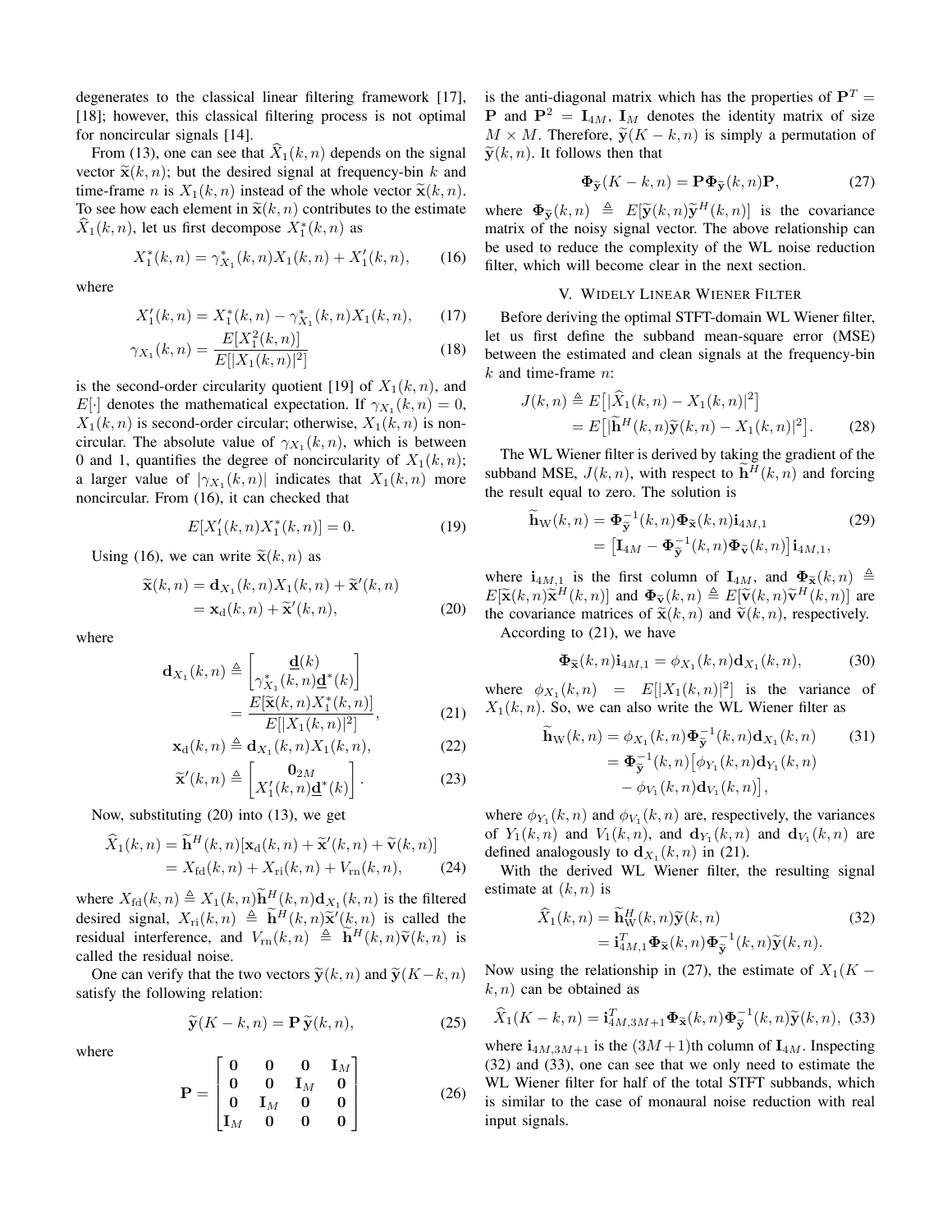degenerates to the classical linear filtering framework [17], [18]; however, this classical filtering process is not optimal for noncircular signals [14].

From (13), one can see that  $\hat{X}_1(k, n)$  depends on the signal vector  $\tilde{\mathbf{x}}(k, n)$ ; but the desired signal at frequency-bin *k* and time-frame *n* is  $X_1(k, n)$  instead of the whole vector  $\tilde{\mathbf{x}}(k, n)$ . To see how each element in  $\tilde{\mathbf{x}}(k, n)$  contributes to the estimate  $X_1(k, n)$ , let us first decompose  $X_1^*(k, n)$  as

$$
X_1^*(k, n) = \gamma_{X_1}^*(k, n) X_1(k, n) + X_1'(k, n), \qquad (16)
$$

where

$$
X_1'(k,n) = X_1^*(k,n) - \gamma_{X_1}^*(k,n)X_1(k,n), \qquad (17)
$$

$$
\gamma_{X_1}(k,n) = \frac{E[X_1^2(k,n)]}{E[|X_1(k,n)|^2]}
$$
\n(18)

is the second-order circularity quotient [19] of  $X_1(k, n)$ , and *E*[*·*] denotes the mathematical expectation. If  $\gamma_{X_1}(k, n) = 0$ ,  $X_1(k, n)$  is second-order circular; otherwise,  $X_1(k, n)$  is noncircular. The absolute value of  $\gamma_{X_1}(k, n)$ , which is between 0 and 1, quantifies the degree of noncircularity of  $X_1(k, n)$ ; a larger value of  $|\gamma_{X_1}(k,n)|$  indicates that  $X_1(k,n)$  more noncircular. From (16), it can checked that

$$
E[X_1'(k,n)X_1^*(k,n)] = 0.
$$
 (19)

Using (16), we can write  $\tilde{\mathbf{x}}(k, n)$  as

$$
\widetilde{\mathbf{x}}(k,n) = \mathbf{d}_{X_1}(k,n) X_1(k,n) + \widetilde{\mathbf{x}}'(k,n) \n= \mathbf{x}_d(k,n) + \widetilde{\mathbf{x}}'(k,n),
$$
\n(20)

where

where

$$
\mathbf{d}_{X_1}(k,n) \triangleq \begin{bmatrix} \mathbf{\underline{d}}(k) \\ \gamma_{X_1}^*(k,n)\mathbf{\underline{d}}^*(k) \end{bmatrix}
$$

$$
= \frac{E[\widetilde{\mathbf{x}}(k,n)X_1^*(k,n)]}{E[|X_1(k,n)|^2]},
$$
(21)

$$
\mathbf{x}_{d}(k,n) \triangleq \mathbf{d}_{X_1}(k,n) X_1(k,n), \tag{22}
$$

$$
\widetilde{\mathbf{x}}'(k,n) \triangleq \begin{bmatrix} \mathbf{0}_{2M} \\ X'_1(k,n)\underline{\mathbf{d}}^*(k) \end{bmatrix} . \tag{23}
$$

Now, substituting (20) into (13), we get

$$
\widehat{X}_1(k,n) = \widetilde{\mathbf{h}}^H(k,n)[\mathbf{x}_d(k,n) + \widetilde{\mathbf{x}}'(k,n) + \widetilde{\mathbf{v}}(k,n)]
$$
  
=  $X_{\text{fd}}(k,n) + X_{\text{ri}}(k,n) + V_{\text{rn}}(k,n),$  (24)

where  $X_{\text{fd}}(k, n) \triangleq X_1(k, n) \tilde{\mathbf{h}}_{\sim}^H(k, n) \mathbf{d}_{X_1}(k, n)$  is the filtered desired signal,  $X_{\text{ri}}(k, n) \triangleq \widetilde{\mathbf{h}}^H(k, n) \widetilde{\mathbf{x}}^{\prime}(k, n)$  is called the residual interference, and  $V_{\text{rn}}(k, n) \triangleq \mathbf{h}^H(k, n)\tilde{\mathbf{v}}(k, n)$  is called the residual noise.

One can verify that the two vectors  $\tilde{\mathbf{y}}(k, n)$  and  $\tilde{\mathbf{y}}(K - k, n)$ satisfy the following relation:

$$
\widetilde{\mathbf{y}}(K - k, n) = \mathbf{P}\widetilde{\mathbf{y}}(k, n),
$$
 (25)

$$
\mathbf{P} = \begin{bmatrix} \mathbf{0} & \mathbf{0} & \mathbf{0} & \mathbf{I}_M \\ \mathbf{0} & \mathbf{0} & \mathbf{I}_M & \mathbf{0} \\ \mathbf{0} & \mathbf{I}_M & \mathbf{0} & \mathbf{0} \\ \mathbf{I}_M & \mathbf{0} & \mathbf{0} & \mathbf{0} \end{bmatrix}
$$
(26)

is the anti-diagonal matrix which has the properties of  $P<sup>T</sup>$  = **P** and  $P^2 = I_{4M}$ ,  $I_M$  denotes the identity matrix of size  $M \times M$ . Therefore,  $\tilde{y}(K - k, n)$  is simply a permutation of  $\widetilde{\mathbf{y}}(k, n)$ . It follows then that

$$
\mathbf{\Phi}_{\widetilde{\mathbf{y}}}(K-k,n) = \mathbf{P}\mathbf{\Phi}_{\widetilde{\mathbf{y}}}(k,n)\mathbf{P},\tag{27}
$$

where  $\Phi_{\widetilde{\mathbf{y}}}(k,n) \triangleq E[\widetilde{\mathbf{y}}(k,n)\widetilde{\mathbf{y}}^H(k,n)]$  is the covariance matrix of the noisy signal vector. The above relationship can be used to reduce the complexity of the WL noise reduction filter, which will become clear in the next section.

### V. WIDELY LINEAR WIENER FILTER

Before deriving the optimal STFT-domain WL Wiener filter, let us first define the subband mean-square error (MSE) between the estimated and clean signals at the frequency-bin *k* and time-frame *n*:

$$
J(k,n) \triangleq E\big[|\widehat{X}_1(k,n) - X_1(k,n)|^2\big] = E\big[|\widetilde{\mathbf{h}}^H(k,n)\widetilde{\mathbf{y}}(k,n) - X_1(k,n)|^2\big].
$$
 (28)

The WL Wiener filter is derived by taking the gradient of the subband MSE,  $J(k, n)$ , with respect to  $\mathbf{h}^H(k, n)$  and forcing the result equal to zero. The solution is

$$
\widetilde{\mathbf{h}}_{\mathbf{W}}(k,n) = \mathbf{\Phi}_{\widetilde{\mathbf{y}}}^{-1}(k,n)\mathbf{\Phi}_{\widetilde{\mathbf{x}}}(k,n)\mathbf{i}_{4M,1}
$$
\n
$$
= [\mathbf{I}_{4M} - \mathbf{\Phi}_{\widetilde{\mathbf{y}}}^{-1}(k,n)\mathbf{\Phi}_{\widetilde{\mathbf{v}}}(k,n)]\mathbf{i}_{4M,1},
$$
\n(29)

where  $\mathbf{i}_{4M,1}$  is the first column of  $\mathbf{I}_{4M}$ , and  $\mathbf{\Phi}_{\widetilde{\mathbf{x}}}(k,n) \triangleq$  $E[\tilde{\mathbf{x}}(k,n)\tilde{\mathbf{x}}^H(k,n)]$  and  $\mathbf{\Phi}_{\tilde{\mathbf{y}}}(k,n) \triangleq E[\tilde{\mathbf{v}}(k,n)\tilde{\mathbf{v}}^H(k,n)]$  are the covariance matrices of  $\tilde{\mathbf{x}}(k, n)$  and  $\tilde{\mathbf{v}}(k, n)$ , respectively. According to (21), we have

$$
\mathbf{\Phi}_{\widetilde{\mathbf{x}}}(k,n)\mathbf{i}_{4M,1} = \phi_{X_1}(k,n)\mathbf{d}_{X_1}(k,n),\tag{30}
$$

where  $\phi_{X_1}(k, n) = E[|X_1(k, n)|^2]$  is the variance of  $X_1(k, n)$ . So, we can also write the WL Wiener filter as

$$
\widetilde{\mathbf{h}}_{\mathbf{W}}(k,n) = \phi_{X_1}(k,n)\Phi_{\widetilde{\mathbf{y}}}^{-1}(k,n)\mathbf{d}_{X_1}(k,n) \qquad (31)
$$
\n
$$
= \Phi_{\widetilde{\mathbf{y}}}^{-1}(k,n) [\phi_{Y_1}(k,n)\mathbf{d}_{Y_1}(k,n) - \phi_{V_1}(k,n)\mathbf{d}_{V_1}(k,n)],
$$

where  $\phi_{Y_1}(k, n)$  and  $\phi_{V_1}(k, n)$  are, respectively, the variances of  $Y_1(k, n)$  and  $V_1(k, n)$ , and  $d_{Y_1}(k, n)$  and  $d_{V_1}(k, n)$  are defined analogously to  $\mathbf{d}_{X_1}(k, n)$  in (21).

With the derived WL Wiener filter, the resulting signal estimate at (*k, n*) is

$$
\widehat{X}_1(k,n) = \widetilde{\mathbf{h}}_W^H(k,n)\widetilde{\mathbf{y}}(k,n) \n= \mathbf{i}_{4M,1}^T \boldsymbol{\Phi}_{\widetilde{\mathbf{x}}}(k,n)\boldsymbol{\Phi}_{\widetilde{\mathbf{y}}}^{-1}(k,n)\widetilde{\mathbf{y}}(k,n).
$$
\n(32)

Now using the relationship in (27), the estimate of  $X_1(K$ *k, n*) can be obtained as

$$
\widehat{X}_1(K-k,n) = \mathbf{i}_{4M,3M+1}^T \mathbf{\Phi}_{\widetilde{\mathbf{x}}}(k,n) \mathbf{\Phi}_{\widetilde{\mathbf{y}}}^{-1}(k,n) \widetilde{\mathbf{y}}(k,n), \tag{33}
$$

where  $\mathbf{i}_{4M,3M+1}$  is the  $(3M+1)$ th column of  $\mathbf{I}_{4M}$ . Inspecting (32) and (33), one can see that we only need to estimate the WL Wiener filter for half of the total STFT subbands, which is similar to the case of monaural noise reduction with real input signals.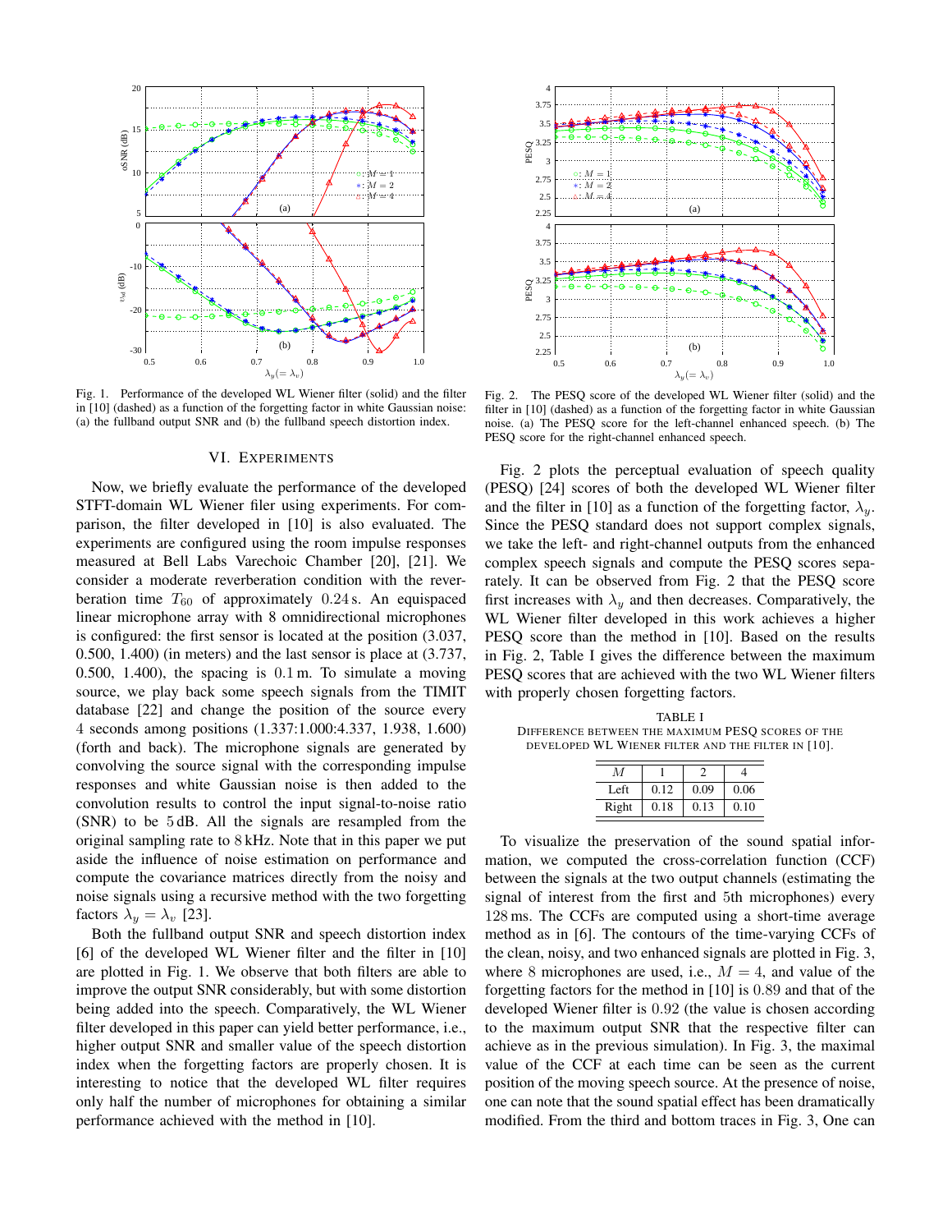

Fig. 1. Performance of the developed WL Wiener filter (solid) and the filter in [10] (dashed) as a function of the forgetting factor in white Gaussian noise: (a) the fullband output SNR and (b) the fullband speech distortion index.

#### VI. EXPERIMENTS

Now, we briefly evaluate the performance of the developed STFT-domain WL Wiener filer using experiments. For comparison, the filter developed in [10] is also evaluated. The experiments are configured using the room impulse responses measured at Bell Labs Varechoic Chamber [20], [21]. We consider a moderate reverberation condition with the reverberation time  $T_{60}$  of approximately 0.24 s. An equispaced linear microphone array with 8 omnidirectional microphones is configured: the first sensor is located at the position (3.037, 0.500, 1.400) (in meters) and the last sensor is place at (3.737, 0.500, 1.400), the spacing is 0*.*1 m. To simulate a moving source, we play back some speech signals from the TIMIT database [22] and change the position of the source every 4 seconds among positions (1.337:1.000:4.337, 1.938, 1.600) (forth and back). The microphone signals are generated by convolving the source signal with the corresponding impulse responses and white Gaussian noise is then added to the convolution results to control the input signal-to-noise ratio (SNR) to be 5 dB. All the signals are resampled from the original sampling rate to 8 kHz. Note that in this paper we put aside the influence of noise estimation on performance and compute the covariance matrices directly from the noisy and noise signals using a recursive method with the two forgetting factors  $\lambda_y = \lambda_v$  [23].

Both the fullband output SNR and speech distortion index [6] of the developed WL Wiener filter and the filter in [10] are plotted in Fig. 1. We observe that both filters are able to improve the output SNR considerably, but with some distortion being added into the speech. Comparatively, the WL Wiener filter developed in this paper can yield better performance, i.e., higher output SNR and smaller value of the speech distortion index when the forgetting factors are properly chosen. It is interesting to notice that the developed WL filter requires only half the number of microphones for obtaining a similar performance achieved with the method in [10].



Fig. 2. The PESQ score of the developed WL Wiener filter (solid) and the filter in [10] (dashed) as a function of the forgetting factor in white Gaussian noise. (a) The PESQ score for the left-channel enhanced speech. (b) The PESQ score for the right-channel enhanced speech.

Fig. 2 plots the perceptual evaluation of speech quality (PESQ) [24] scores of both the developed WL Wiener filter and the filter in [10] as a function of the forgetting factor,  $\lambda_{\nu}$ . Since the PESQ standard does not support complex signals, we take the left- and right-channel outputs from the enhanced complex speech signals and compute the PESQ scores separately. It can be observed from Fig. 2 that the PESQ score first increases with  $\lambda_y$  and then decreases. Comparatively, the WL Wiener filter developed in this work achieves a higher PESQ score than the method in [10]. Based on the results in Fig. 2, Table I gives the difference between the maximum PESQ scores that are achieved with the two WL Wiener filters with properly chosen forgetting factors.

TABLE I DIFFERENCE BETWEEN THE MAXIMUM PESQ SCORES OF THE DEVELOPED WL WIENER FILTER AND THE FILTER IN [10].

| М     |      |      |      |
|-------|------|------|------|
| Left  | 0.12 | 0.09 | 0.06 |
| Right | 0.18 | 0.13 | 0.10 |

To visualize the preservation of the sound spatial information, we computed the cross-correlation function (CCF) between the signals at the two output channels (estimating the signal of interest from the first and 5th microphones) every 128 ms. The CCFs are computed using a short-time average method as in [6]. The contours of the time-varying CCFs of the clean, noisy, and two enhanced signals are plotted in Fig. 3, where 8 microphones are used, i.e.,  $M = 4$ , and value of the forgetting factors for the method in [10] is 0*.*89 and that of the developed Wiener filter is 0*.*92 (the value is chosen according to the maximum output SNR that the respective filter can achieve as in the previous simulation). In Fig. 3, the maximal value of the CCF at each time can be seen as the current position of the moving speech source. At the presence of noise, one can note that the sound spatial effect has been dramatically modified. From the third and bottom traces in Fig. 3, One can